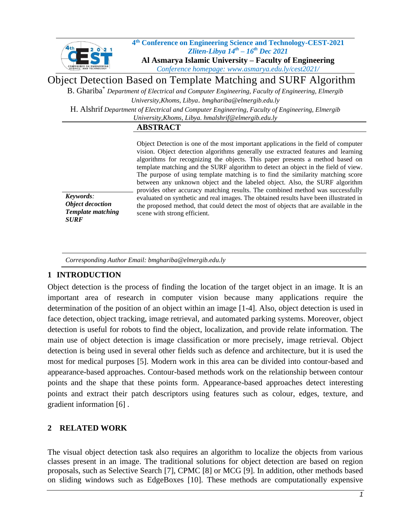

#### **4 th Conference on Engineering Science and Technology-CEST-2021** *Zliten-Libya 14 th – 16 th Dec 2021*  **Al Asmarya Islamic University – Faculty of Engineering**  *Conference homepage: www.asmarya.edu.ly/cest2021/*

Object Detection Based on Template Matching and SURF Algorithm

B. Ghariba\* *Department of Electrical and Computer Engineering, Faculty of Engineering, Elmergib University,Khoms, Libya*. *bmghariba@elmergib.edu.ly*

H. Alshrif *Department of Electrical and Computer Engineering, Faculty of Engineering, Elmergib University,Khoms, Libya. hmalshrif@elmergib.edu.ly*

#### **ABSTRACT**

*Keywords: Object decoction Template matching SURF*

Object Detection is one of the most important applications in the field of computer vision. Object detection algorithms generally use extracted features and learning algorithms for recognizing the objects. This paper presents a method based on template matching and the SURF algorithm to detect an object in the field of view. The purpose of using template matching is to find the similarity matching score between any unknown object and the labeled object. Also, the SURF algorithm provides other accuracy matching results. The combined method was successfully evaluated on synthetic and real images. The obtained results have been illustrated in the proposed method, that could detect the most of objects that are available in the scene with strong efficient.

*Corresponding Author Email: bmghariba@elmergib.edu.ly*

# **1 INTRODUCTION**

Object detection is the process of finding the location of the target object in an image. It is an important area of research in computer vision because many applications require the determination of the position of an object within an image [\[1-4\]](#page-9-0). Also, object detection is used in face detection, object tracking, image retrieval, and automated parking systems. Moreover, object detection is useful for robots to find the object, localization, and provide relate information. The main use of object detection is image classification or more precisely, image retrieval. Object detection is being used in several other fields such as defence and architecture, but it is used the most for medical purposes [\[5\]](#page-9-1). Modern work in this area can be divided into contour-based and appearance-based approaches. Contour-based methods work on the relationship between contour points and the shape that these points form. Appearance-based approaches detect interesting points and extract their patch descriptors using features such as colour, edges, texture, and gradient information [\[6\]](#page-9-2) .

# **2 RELATED WORK**

The visual object detection task also requires an algorithm to localize the objects from various classes present in an image. The traditional solutions for object detection are based on region proposals, such as Selective Search [\[7\]](#page-9-3), CPMC [\[8\]](#page-9-4) or MCG [\[9\]](#page-9-5). In addition, other methods based on sliding windows such as EdgeBoxes [\[10\]](#page-9-6). These methods are computationally expensive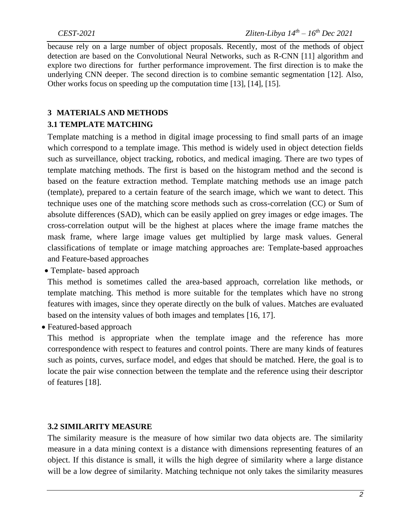because rely on a large number of object proposals. Recently, most of the methods of object detection are based on the Convolutional Neural Networks, such as R-CNN [\[11\]](#page-9-7) algorithm and explore two directions for further performance improvement. The first direction is to make the underlying CNN deeper. The second direction is to combine semantic segmentation [\[12\]](#page-9-8). Also, Other works focus on speeding up the computation time [\[13\]](#page-9-9), [\[14\]](#page-9-10), [\[15\]](#page-9-11).

## **3 MATERIALS AND METHODS**

### **3.1 TEMPLATE MATCHING**

Template matching is a method in digital image processing to find small parts of an image which correspond to a template image. This method is widely used in object detection fields such as surveillance, object tracking, robotics, and medical imaging. There are two types of template matching methods. The first is based on the histogram method and the second is based on the feature extraction method. Template matching methods use an image patch (template), prepared to a certain feature of the search image, which we want to detect. This technique uses one of the matching score methods such as cross-correlation (CC) or Sum of absolute differences (SAD), which can be easily applied on grey images or edge images. The cross-correlation output will be the highest at places where the image frame matches the mask frame, where large image values get multiplied by large mask values. General classifications of template or image matching approaches are: Template-based approaches and Feature-based approaches

• Template- based approach

This method is sometimes called the area-based approach, correlation like methods, or template matching. This method is more suitable for the templates which have no strong features with images, since they operate directly on the bulk of values. Matches are evaluated based on the intensity values of both images and templates [\[16,](#page-9-12) [17\]](#page-9-13).

• Featured-based approach

 This method is appropriate when the template image and the reference has more correspondence with respect to features and control points. There are many kinds of features such as points, curves, surface model, and edges that should be matched. Here, the goal is to locate the pair wise connection between the template and the reference using their descriptor of features [\[18\]](#page-9-14).

### **3.2 SIMILARITY MEASURE**

The similarity measure is the measure of how similar two data objects are. The similarity measure in a data mining context is a distance with dimensions representing features of an object. If this distance is small, it wills the high degree of similarity where a large distance will be a low degree of similarity. Matching technique not only takes the similarity measures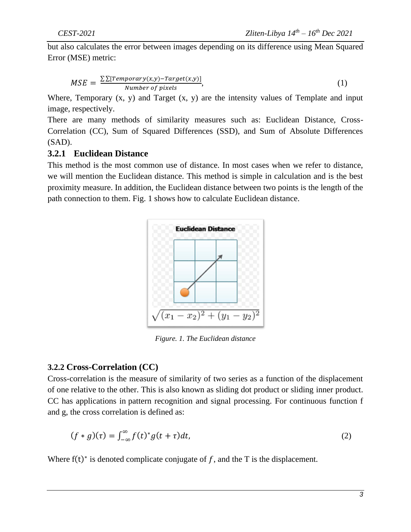but also calculates the error between images depending on its difference using Mean Squared Error (MSE) metric:

$$
MSE = \frac{\sum [Temperature(x,y) - Target(x,y)]}{Number of pixels},
$$
\n(1)

Where, Temporary  $(x, y)$  and Target  $(x, y)$  are the intensity values of Template and input image, respectively.

There are many methods of similarity measures such as: Euclidean Distance, Cross-Correlation (CC), Sum of Squared Differences (SSD), and Sum of Absolute Differences (SAD).

## **3.2.1 Euclidean Distance**

This method is the most common use of distance. In most cases when we refer to distance, we will mention the Euclidean distance. This method is simple in calculation and is the best proximity measure. In addition, the Euclidean distance between two points is the length of the path connection to them. Fig. 1 shows how to calculate Euclidean distance.



*Figure. 1. The Euclidean distance*

## **3.2.2 Cross-Correlation (CC)**

Cross-correlation is the measure of similarity of two series as a function of the displacement of one relative to the other. This is also known as sliding dot product or sliding inner product. CC has applications in pattern recognition and signal processing. For continuous function f and g, the cross correlation is defined as:

$$
(f * g)(\tau) = \int_{-\infty}^{\infty} f(t)^* g(t + \tau) dt, \tag{2}
$$

Where  $f(t)^*$  is denoted complicate conjugate of f, and the T is the displacement.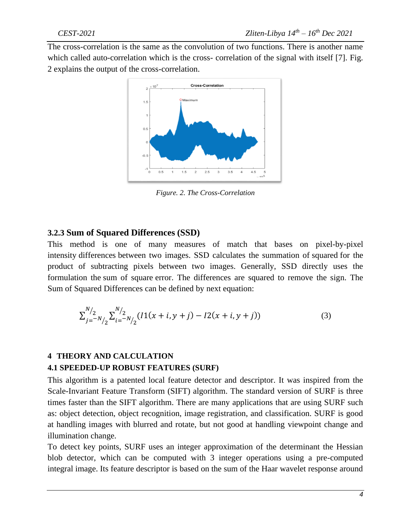The cross-correlation is the same as the convolution of two functions. There is another name which called auto-correlation which is the cross- correlation of the signal with itself [7]. Fig. 2 explains the output of the cross-correlation.



*Figure. 2. The Cross-Correlation*

## **3.2.3 Sum of Squared Differences (SSD)**

This method is one of many measures of match that bases on pixel-by-pixel intensity differences between two images. SSD calculates the summation of squared for the product of subtracting pixels between two images. Generally, SSD directly uses the formulation the sum of square error. The differences are squared to remove the sign. The Sum of Squared Differences can be defined by next equation:

$$
\sum_{j=-N/2}^{N/2} \sum_{i=-N/2}^{N/2} (I1(x+i, y+j) - I2(x+i, y+j))
$$
\n(3)

### **4 THEORY AND CALCULATION**

#### **4.1 SPEEDED-UP ROBUST FEATURES (SURF)**

This algorithm is a patented local feature detector and descriptor. It was inspired from the Scale-Invariant Feature Transform (SIFT) algorithm. The standard version of SURF is three times faster than the SIFT algorithm. There are many applications that are using SURF such as: object detection, object recognition, image registration, and classification. SURF is good at handling images with blurred and rotate, but not good at handling viewpoint change and illumination change.

To detect key points, SURF uses an integer approximation of the determinant the Hessian blob detector, which can be computed with 3 integer operations using a pre-computed integral image. Its feature descriptor is based on the sum of the Haar wavelet response around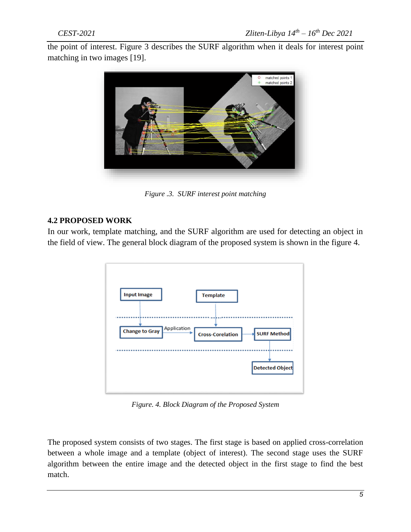the point of interest. Figure 3 describes the SURF algorithm when it deals for interest point matching in two images [\[19\]](#page-9-15).



*Figure .3. SURF interest point matching*

## **4.2 PROPOSED WORK**

In our work, template matching, and the SURF algorithm are used for detecting an object in the field of view. The general block diagram of the proposed system is shown in the figure 4.



*Figure. 4. Block Diagram of the Proposed System*

The proposed system consists of two stages. The first stage is based on applied cross-correlation between a whole image and a template (object of interest). The second stage uses the SURF algorithm between the entire image and the detected object in the first stage to find the best match.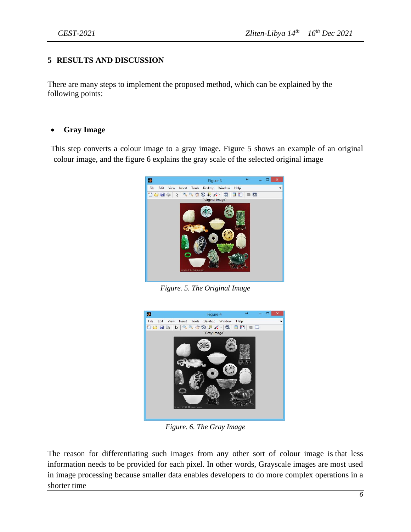### **5 RESULTS AND DISCUSSION**

There are many steps to implement the proposed method, which can be explained by the following points:

#### • **Gray Image**

This step converts a colour image to a gray image. Figure 5 shows an example of an original colour image, and the figure 6 explains the gray scale of the selected original image



*Figure. 5. The Original Image*



*Figure. 6. The Gray Image*

The reason for differentiating such images from any other sort of colour image is that less information needs to be provided for each pixel. In other words, Grayscale images are most used in image processing because smaller data enables developers to do more complex operations in a shorter time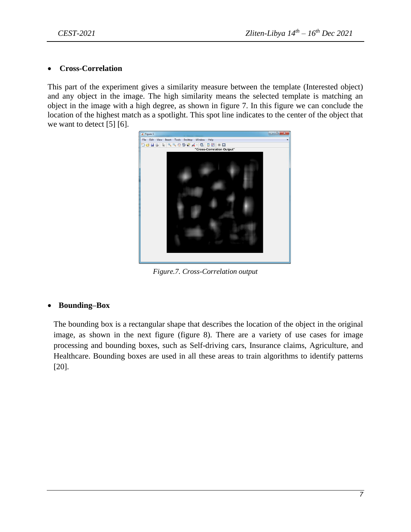#### • **Cross-Correlation**

This part of the experiment gives a similarity measure between the template (Interested object) and any object in the image. The high similarity means the selected template is matching an object in the image with a high degree, as shown in figure 7. In this figure we can conclude the location of the highest match as a spotlight. This spot line indicates to the center of the object that we want to detect [\[5\]](#page-9-1) [\[6\]](#page-9-2).



*Figure.7. Cross-Correlation output*

### • **Bounding–Box**

The bounding box is a rectangular shape that describes the location of the object in the original image, as shown in the next figure (figure 8). There are a variety of use cases for image processing and bounding boxes, such as Self-driving cars, Insurance claims, Agriculture, and Healthcare. Bounding boxes are used in all these areas to train algorithms to identify patterns [\[20\]](#page-9-16).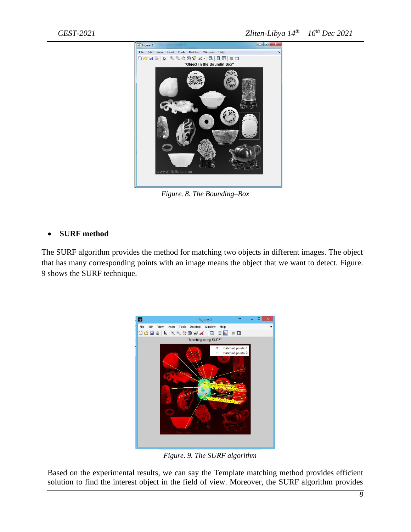

*Figure. 8. The Bounding–Box*

## • **SURF method**

The SURF algorithm provides the method for matching two objects in different images. The object that has many corresponding points with an image means the object that we want to detect. Figure. 9 shows the SURF technique.



 *Figure. 9. The SURF algorithm*

Based on the experimental results, we can say the Template matching method provides efficient solution to find the interest object in the field of view. Moreover, the SURF algorithm provides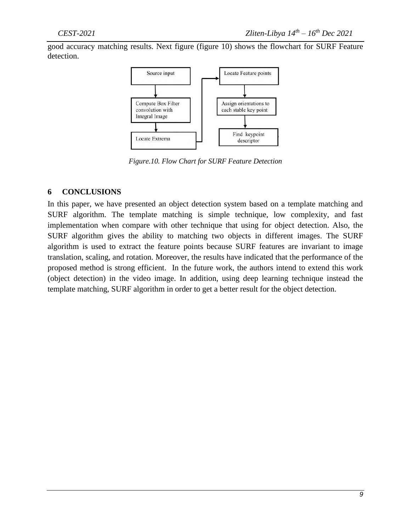good accuracy matching results. Next figure (figure 10) shows the flowchart for SURF Feature detection.



*Figure.10. Flow Chart for SURF Feature Detection*

### **6 CONCLUSIONS**

In this paper, we have presented an object detection system based on a template matching and SURF algorithm. The template matching is simple technique, low complexity, and fast implementation when compare with other technique that using for object detection. Also, the SURF algorithm gives the ability to matching two objects in different images. The SURF algorithm is used to extract the feature points because SURF features are invariant to image translation, scaling, and rotation. Moreover, the results have indicated that the performance of the proposed method is strong efficient. In the future work, the authors intend to extend this work (object detection) in the video image. In addition, using deep learning technique instead the template matching, SURF algorithm in order to get a better result for the object detection.